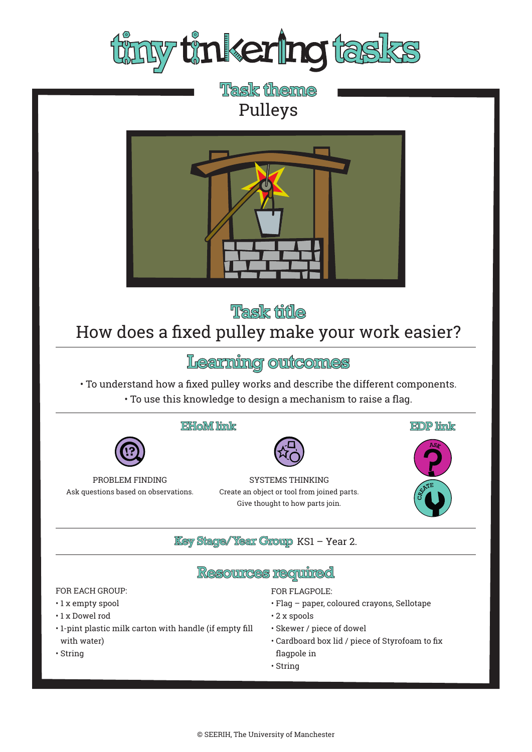

**Task theme** Pulleys



**Task title** 

# How does a fixed pulley make your work easier?

Learning outcomes

• To understand how a fixed pulley works and describe the different components. • To use this knowledge to design a mechanism to raise a flag.

#### EHoM link



SYSTEMS THINKING Create an object or tool from joined parts. Give thought to how parts join.



#### **Key Stage/Year Group KS1 - Year 2.**

### **Resources required**

#### FOR EACH GROUP:

- 1 x empty spool
- 1 x Dowel rod
- 1-pint plastic milk carton with handle (if empty fill with water)

PROBLEM FINDING Ask questions based on observations.

• String

#### FOR FLAGPOLE:

- Flag paper, coloured crayons, Sellotape
- 2 x spools
- Skewer / piece of dowel
- Cardboard box lid / piece of Styrofoam to fix flagpole in
- String
- © SEERIH, The University of Manchester